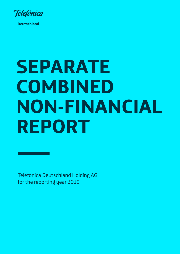

**Deutschland** 

# **SEPARATE COMBINED NON-FINANCIAL REPORT**

Telefónica Deutschland Holding AG for the reporting year 2019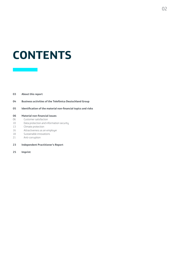## **CONTENTS**

#### **03 About this report**

- **04 Business activities of the Telefónica Deutschland Group**
- **05 Identification of the material non-financial topics and risks**

#### **06 Material non-financial issues**

- 06 Customer satisfaction
- 10 Data protection and information security
- 13 Climate protection
- 16 Attractiveness as an employer
- 18 Sustainable innovations
- 21 Anti-corruption
- **23 Independent Practitioner's Report**
- **25 Imprint**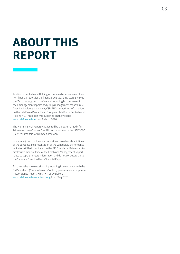## **ABOUT THIS REPORT**

Telefónica Deutschland Holding AG prepared a separate combined non-financial report for the financial year 2019 in accordance with the "Act to strengthen non-financial reporting by companies in their management reports and group management reports" (CSR Directive Implementation Act, CSR-RUG) comprising information on the Telefónica Deutschland Group and Telefónica Deutschland Holding AG. This report was published on the website www.telefonica.de/nfs on 3 March 2020.

The Non-Financial Report was audited by the external audit firm PricewaterhouseCoopers GmbH in accordance with the ISAE 3000 (Revised) standard with limited assurance.

In preparing the Non-Financial Report, we based our descriptions of the concepts and presentation of the various key performance indicators (KPIs) in particular on the GRI Standards. References to disclosures made outside of the Combined Management Report relate to supplementary information and do not constitute part of the Separate Combined Non-Financial Report.

For comprehensive sustainability reporting in accordance with the GRI Standards ("Comprehensive" option), please see our Corporate Responsibility Report, which will be available at www.telefonica.de/verantwortung from May 2020.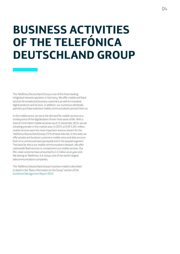## **BUSINESS ACTIVITIES OF THE TELEFÓNICA DEUTSCHLAND GROUP**

The Telefónica Deutschland Group is one of the three leading integrated network operators in Germany. We offer mobile and fixed services for private and business customers as well as innovative digital products and services. In addition, our numerous wholesale partners purchase extensive mobile communications services from us.

In the mobile sector, we serve the demand for mobile services as a consequence of the digitalisation of ever more areas of life. With a total of 43.8 million mobile accesses as of 31 December 2019, we are a leading provider in this market area. In 2019, at EUR 5,301 million, mobile services were the most important revenue stream for the Telefónica Deutschland Group (72% of total volume). In this area, we offer private and business customers mobile voice and data services both on a contractual basis (postpaid) and in the prepaid segment. The basis for this is our mobile communications network. We offer nationwide fixed services to complement our mobile services. Our DSL retail customer base amounted to 2.2 million as at year-end. We belong to Telefónica, S.A. Group, one of the world's largest telecommunications companies.

The Telefónica Deutschland Group's business model is described in detail in the "Basic information on the Group" section of the [Combined Management Report 2019.](https://www.telefonica.de/investor-relations-en/annual-report.html)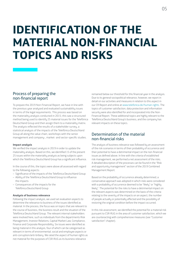## **IDENTIFICATION OF THE MATERIAL NON-FINANCIAL TOPICS AND RISKS**

#### Process of preparing the non-financial report

To prepare the 2019 Non-Financial Report, we have in line with the previous year analysed and evaluated sustainability issues in terms of the legal requirements. This process was based on the materiality analysis conducted in 2015; this saw a structured method being used to identify 25 material issues for the Telefónica Deutschland Group and then assign them to a materiality matrix. The analysis reflected the results of a stakeholder survey, a statistical analysis of the impacts of the Telefónica Deutschland Group all along the value chain, workshops with the senior management and company-, market- and sector-specific studies.

#### **Impact analysis**

We verified the impact analysis in 2019 in order to update the materiality analysis. Based on this, we identified 15 of the present 25 issues within the materiality analysis as being subjects upon which the Telefónica Deutschland Group has a significant influence.

In the course of this, the topics were above all assessed with regard to the following aspects:

- Significance of the impacts of the Telefónica Deutschland Group
- Ability of the Telefónica Deutschland Group to influence the impacts
- Consequences of the impacts for the Telefónica Deutschland Group

#### **Analysis of business relevance**

Following the impact analysis, we used set evaluation aspects to determine the relevance to business of the issues identified as material. In the process, the focus was on topics that are relevant to the course of business, the business result and the situation of the Telefónica Deutschland Group. The relevant internal stakeholders were involved here, such as individuals from the departments Risk Management, Investor Relations, Capital Market Law, Compliance, Finance and Corporate Responsibility. Six issues were identified as being material in this analysis, four of which can be categorised as relevant in terms of environmental, social and employee aspects or anti-corruption/anti-bribery. We rated the aspect of human rights as not material for the purposes of CSR-RUG as its business relevance

remained below our threshold for this financial year in the analysis. Due to its general sociopolitical relevance, however, we report in detail on our activities and measures in relation to this aspect in our CR Report and online at [www.telefonica.de/human-rights](https://www.telefonica.de/responsibility/human-rights.html). The topics of customer satisfaction, data protection and information security were also identified for and incorporated into the Non-Financial Report. These additional topics are highly relevant to the Telefónica Deutschland Group's business, and the company has relevant impacts on these topics.

#### Determination of the material non-financial risks

The analysis of business relevance was followed by an assessment of the risk scenarios in terms of their probability of occurrence and their potential to have a detrimental impact on the non-financial issues as defined above. In line with the criteria of established risk management, we performed a net assessment of the risks. A detailed description of the processes can be found in the "Risk and opportunity management" section of the 2019 Combined Management Report.

Based on the probability of occurrence already determined, a conservative approach was adopted in which risks were considered with a probability of occurrence deemed to be "likely" or "highly likely". The potential for the risks to have a detrimental impact on the relevant aspects was determined on the basis of the criteria relating to the severity of the impacts on an aspect, the number of people actually or potentially affected and the possibility of restoring the original condition before the impact occurred.

In this risk assessment, we identified the potential for a material risk pursuant to CSR-RUG in the area of customer satisfaction, which we are counteracting with comprehensive measures (see "Customer satisfaction" chapter).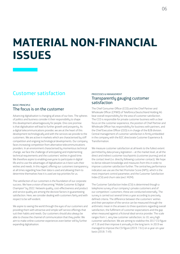## **MATERIAL NON-FINANCIAL ISSUES**

### Customer satisfaction

#### BASIC PRINCIPLE The focus is on the customer

Advancing digitalisation is changing all areas of our lives. The spheres of politics and business consider it their responsibility to shape this development advantageously for people. One core promise is that digitalisation will lead to further growth and prosperity. As a digital telecommunications provider, we are at the heart of this development technologically and with the services we provide to the customers. We are active in markets which are characterised by stiff competition and ongoing technological developments. Our company faces increasing competition from alternative telecommunications providers. In an environment characterised by momentous technical change, we face the challenge of anticipating and implementing technical requirements and the customers' wishes in good time. We therefore aspire to enabling everyone to participate in digital life and to use the advantages of digitalisation as it best suits their wishes and needs. In this regard, offering our customers transparency at all times regarding how their data is used and allowing them to determine themselves how it is used are top priorities for us.

The satisfaction of our customers is the foundation of our corporate success. We have a vision of becoming "Mobile Customer & Digital Champion" by 2022. Network quality, cost-effectiveness and product and service quality are among the decisive factors in guaranteeing satisfaction. Here, we consider dealing with customers fairly and with respect to be self-evident.

We aspire to seeing the world through the eyes of our customers and providing them with attractive and simple self-service offerings that suit their habits and needs. Our customers should also always be able to choose the channel of communication that they prefer. We aim to make online customer experiences even better still by further expanding digitalisation.

#### PROCESSES & MANAGEMENT Transparently gauging customer satisfaction

The Chief Consumer Officer (CCO) and the Chief Partner and Wholesale Officer (CPWO) of Telefónica Deutschland Holding AG bear overall responsibility for the area of customer satisfaction. The CCO is responsible for private customer business with a clear focus on the customer experience, the position of Chief Partner and Wholesale Officer has responsibility for business with partners, and the Chief Executive Officer (CEO) is in charge of the B2B division. Central management of customer satisfaction is firmly embedded in the company with the B2C directorate Customer Experience & **Transformation** 

We measure customer satisfaction at all levels to the fullest extent permitted by data privacy legislation – at the market level, at all the direct and indirect customer touchpoints (customer journey) and at the contact level (i.e. directly following customer contact). We hope to derive relevant knowledge and measures from this in order to improve customer satisfaction further. The central key performance indicators we use are the Net Promoter Score (NPS), which is the most important control parameter, and the Customer Satisfaction Index (CSI) and churn rate (excl. M2M).

The Customer Satisfaction Index (CSI) is determined though a telephone survey of our company's private customers and of our competitors' customers; these are conducted externally. The survey is carried out several times a year according to precisely defined criteria. The difference between the customers' wishes and their perception of the service can be measured through the arithmetic mean in the answers to three questions regarding overall satisfaction, the fulfilment of customer expectations and the gap when measured against a fictional ideal service provider. The scale ranges from 1, very low customer satisfaction, to 10, very high customer satisfaction. We are aiming to stabilise the 2017 CSI figure of 7.18 and then improve it annually in the long term. In 2019 we managed to improve the CSI figure (2019: 7.61) on a year-on-year basis (2018: 7.49).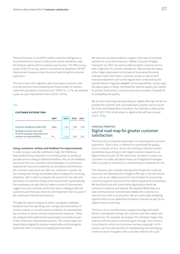The Net Promoter Score (NPS) verifies customer willingness to recommend the  $O<sub>2</sub>$  brand. It reflects the overall satisfaction with the brand as well as with its products and services. The NPS survey is part of the CSI survey, which is carried out by telephone. All NPS improvement measures have the aim of optimising the customer experience.

The churn rate is the migration rate of postpaid customers over a certain period of time divided by the total number of contract customers (postpaid connections excl. M2M). At 1.51%, we achieved a year-on-year improvement here (2018: 1.65%).

#### **T 01**

#### **CUSTOMER SATISFACTION**

|                                                                      | UNIT  | 2019 | 2018 | 2017  |
|----------------------------------------------------------------------|-------|------|------|-------|
| Customer Satisfaction Index (CSI)                                    | Index | 7.61 | 7 49 | 7 1 8 |
| Postpaid customer churn rate<br>Churn for postpaid connections excl. |       |      |      |       |
| machine-to-machine (M2M)                                             | $\%$  | 1.51 | 1 65 |       |

#### **Using customers' wishes and feedback for improvements**

In order to keep customer satisfaction high, the Telefónica Deutschland Group responds to incoming queries as quickly as possible and according to defined workflows. We use the feedback we receive from our customers and employees in a continuous improvement process to optimise our procedures and therefore the customer experience too. With our customers' consent, we use among other things automated speech analysis for incoming telephone calls in order to evaluate the reasons for the calls and the wishes of customers faster and to record them systematically. Our employees can also directly make a record of improvement suggestions and customer wishes that arise in dialogue with the customers and then pass these on and implement them as part of the continuous improvement process.

Through the speech analysis as well as via regular employee feedback from the operating units, conspicuous fluctuations in contact reasons or voiced customer problems are reported and we use these to derive concrete improvement measures. These are analysed and implemented as promptly as possible as part of the continuous improvement process. The chosen topics are respectively assigned to a person responsible and the progress made with them is tracked via weekly documentation.

We have set ourselves ambitious targets in the area of customer satisfaction in our bid to become "Mobile Customer & Digital Champion" by 2022: we want to offer excellent customer service with a high level of customer satisfaction. We evaluate the status of our target attainment on the basis of internal performance indicators taken from direct customer surveys as well as from external evaluations such as the regular tests conducted by the special-interest magazine *connect* concerning hotlines, service apps, the advice given in shops, and fixed line network quality. Our hotline for private and business customers has won a number of awards for its availability and quality.

We are also improving and expanding our digital offerings and aim to provide the customer with uncomplicated customer service round the clock and independent of location. Our intention is that by the end of 2021 76% of all contact is digital in the self-service area (2019: 72%).

#### STRATEGIC PRIORITIES Digital road map for greater customer satisfaction

The focus of our measures planning is on improving the customer experience. That is why, in addition to optimising the quality of our customer service, we are also aiming to improve contact possibilities by pushing on with digital solutions based on our digital measures plan. At the same time, we want to inspire our customers to make self-determined use of digital technologies with our products and base our communication measures on this.

The measures plan includes among other things the continual expansion and development of digital offerings in the self-service area, such as our digital assistants Lisa (chatbot for processing customer queries) and Aura (AI for optimising business processes). We launched Aura with some initial applications which we continue to improve and expand. We adopted WhatsApp as a new communication channel that enables the customers to raise an issue with us at any time. We are continually analysing opportunities to use additional innovative channels as part of our digital measure planning.

The focus of our transformation programme Digital4Growth (D4G) is among other things the customer and their needs and experiences. For example, we analyse the individual stages that a person who becomes a customer goes through, from interest to purchase to active use (customer journey mapping). In this context, we have also worked on standardising and simplifying communication throughout the customer relations life cycle.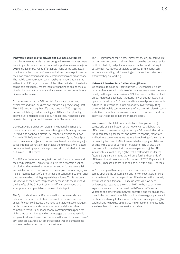#### **Innovative solutions for private and business customers**

We offer innovative tariffs that are designed to make our customers' lives simpler, faster and better. Our most important new offerings in 2019 included the  $O<sub>2</sub>$  You tariff that puts many of the contractual conditions in the customers' hands and allows them to put together their own combinations of mobile communication and smartphone. The mobile communication tariff may be terminated at any time with notice of 30 days to the end of the billing period and the device can be paid off flexibly. We are therefore bringing to an end the era of inflexible contract durations and are aiming to take on a role as a pioneer in the market.

O2 has also expanded its DSL portfolio for private customers, freelancers and small business owners with a supervectoring tariff. This is DSL technology that offers top speeds of 250 megabits per second (Mbps) for downloading and 40 Mbps for uploading, allowing self-employed people to surf at a reliably high speed and, in particular, to upload and download large files in seconds.

Our extensive LTE expansion programme is benefiting not only mobile communications customers throughout Germany, but also users who do not have a classic DSL connection within their own four walls. With O<sub>2</sub> HomeSpot and the three new O<sub>2</sub> mu Data Spot tariffs, we are offering our customers an alternative stationary highspeed Internet connection that enables them to use a Wi-Fi-based home spot to simply and reliably connect all of their devices to and surf in our O<sub>2</sub> LTE network.

Our B2B area features a strong tariff portfolio for our partners and their end customers. This offers our business customers a variety of solutions that make their work easier and which are secure, fair and reliable. With  $O<sub>2</sub>$  Free Business, for example, users can enjoy fast mobile Internet access of up to 1 Mbps throughout the EU even after they have used up their high-speed data volume. This is the case irrespective of the device they choose because with the multicard, the benefits of the  $O<sub>2</sub>$  Free Business tariffs can be enjoyed on a smartphone, laptop or tablet or in a mobile hotspot.

The O<sub>2</sub> Unite business tariff is designed for companies who are reliant on maximum flexibility in their mobile communications usage, for example because they need to integrate new employees or plan international activities at short notice.  $0<sub>2</sub>$  Unite offers companies central tailor-made mobile communications pools for high-speed data, minutes and text messages that can be variably assigned to all employees. Fluctuations in the use of the employees' SIM cards are balanced out amongst each other and unused data volumes can be carried over to the next month.

The O2 Digital Phone tariff further simplifies the day-to-day work of our business customers. It allows them to use the complete service portfolio of a fully fledged phone system in the cloud, making it possible for PCs, laptops or tablets to access all functions such as conference calling, call forwarding and phone directories from wherever they are working.

#### **Network infrastructure further strengthened**

We continue to equip our locations with LTE technology in both urban and rural areas in order to offer our customers better network quality. In the year under review, 2019, the Telefónica Deutschland Group, moreover, put several thousand new LTE transmitters into operation. Starting in 2020 we intend to above all press ahead with extensive LTE expansion in rural areas as well as swiftly putting powerful 5G mobile communications infrastructure in place in towns and cities to enable an increasing number of customers to surf the Internet at high speeds in more and more places.

In urban areas, the Telefónica Deutschland Group is focusing particularly on densification of the network. In parallel with the LTE expansion, we are starting setting up a 5G network that will in future facilitate higher speeds and increased capacity for private and business customers as well as intelligent linking of their digital devices. By the close of 2022 the aim is to be supplying 30 towns or cities with a total of 16 million inhabitants. In rural areas, the company will forge ahead with intensively expanding the LTE infrastructure as well as laying the technical foundations for the future 5G expansion. In 2020 we will bring further thousands of LTE transmitters into operation. By the end of 2020 99 per cent of Germany's households are to be able to surf with high LTE speeds.

In 2019 we signed Germany's mobile communications pact agreed upon bu the policumakers and network operators, making a commitment to further expand the LTE network. In this context, we will set up an additional 333 sites in what will have been undersupplied regions by the end of 2021. In the area of network expansion, we want to work closely with Deutsche Telekom, Vodafone and other mobile network operators and will ensure that there is the best possible mobile broadband coverage in particular in rural areas and along traffic routes. To this end, we are planning to establish and jointly use up to 6,000 new mobile communications sites together with the other service providers.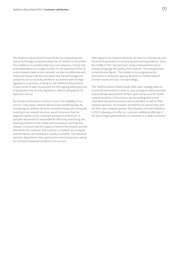The Telefónica Deutschland Group will also be cooperating with several technology companies where the 5G network is concerned. This enables us to establish diversity in our networks in future and avoid dependence on a single provider. For the expansion of the 5G access network (radio access network), we plan to collaborate with Nokia and Huawei with the reservation that the technology and companies are successfully certified in accordance with the legal regulations in Germany. In doing so, the Telefónica Deutschland Group intends to take into account the still ongoing political process of laying down the security regulations, without delaying the 5G expansion roll-out.

Our private and business customers trust in the reliability of our services. They expect network failures to be rectified quickly. By monitoring our network elements comprehensively and continually investing in our network structure, we aim to ensure that the negative impacts on our customers are kept to a minimum. A specialist department is responsible for efficiently monitoring and resolving problems in the mobile communications and fixed line network. It ensures that the impacts of work in the network are kept minimal for the customer, that customer complaints are analysed and that failures are remedied as quickly as possible. The individual specialist departments then optimise the internal processes, taking the technical framework conditions into account.

With regard to our network elements, we want to continuously raise the level of automation in monitoring and resolving problems. Since the middle of 2017 we have been using a measurement tool to analyse and gauge the quality of the network. This tool generates comprehensive figures. This enables us to recognise service restrictions or increased capacity demand at a mobile network location sooner and react correspondingly.

The Telefónica Deutschland Group's fibre-optic strategy relies on successful partnerships in order to cover as large an area as possible and accelerate advancement of fibre-optic connections for mobile network locations. In the process, we are working with several alternative telecommunications service providers as well as other network operators. For example, we entered into partnerships with the fibre-optic network operator Tele Columbus and with Vodafone in 2019, allowing us to offer our customers additional offerings in the area of high-speed Internet via a fixed line or a cable connection.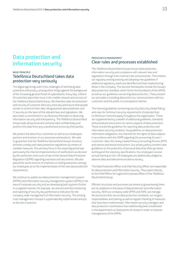## Data protection and information security

#### **BASIC PRINCIPLE** Telefónica Deutschland takes data protection very seriously

The digital age brings with it the challenges of rethinking data protection and privacy, among other things against the background of the increasing general threat of cyberattacks. Every day, millions of customers place their trust in the mobile network and services of the Telefónica Deutschland Group. We therefore take the protection and security of customer data very seriously and ensure that people remain in control of their data. We guarantee data protection and IT security on the basis of the relevant laws and regulations. We also make a commitment in our Business Principles to observing information security and transparency. The Telefónica Deutschland Group treats all personal and sensitive data confidentially and protects this data from any unauthorised access by third parties.

We protect the data of our customers as well as our employees, partners and investors in our processes and products. We seek to guarantee that the Telefónica Deutschland Group's business activities comply with data protection regulations by means of suitable measures. One primary focus in the reporting period was particularly the internal implementation of clarifications as decreed by the authorities and courts of law of the General Data Protection Regulation (GDPR) regarding processes and documents. We also placed the same amount of emphasis on raising awareness among our employees as to the implementation of the new data protection requirements.

We continue to update our data protection management system (DPMS) and information security management system (ISMS) in the area of corporate security and are developing both systems further in a targeted manner. For example, we restructured the monitoring and reporting of security key performance indicators for the company-wide management of information security. The existing crisis management concept is systematically implemented and put to the test in practice.

#### PROCESSES & MANAGEMENT Clear rules and processes established

The Telefónica Deutschland Group ensures data protection, information security and compliance with relevant laws and regulations through strict internal rules and processes. This involves our regularly revising existing and adopting new guidelines if additional regulatory needs are identified and then implementing these in the company. The decisive frameworks include the Group's data protection standard, which forms the foundation of the DPMS, as well as our guidelines concerning data protection. These present our principles in handling data and in our communication with our customers and the public in a transparent manner.

The internal guidelines concerning security (Security Global Policy) and rules for minimum security requirements (Corporate Rule on Minimum Controls) apply throughout the organisation. These are supplemented by a wealth of additional guidelines, standards and procedural instructions on various aspects of data protection. These include the guidelines for reporting data protection and information security incidents, the guidelines on data protection information obligations, the checklist for the rights of data subjects in accordance with the GDPR regarding the processing of users'/ customers' data, the newly created Privacy Consulting Process (PCP) and various procedural instructions. Our privacy policy contains clear guidelines on the protection of personal data that often go above and beyond the statutory specifications. Our employees receive annual training on this. All employees are additionally obliged to observe data and telecommunications secrecy.

The Data Protection Officer and Chief Security Officer are responsible for data protection and information security. They report directly to the Chief Officer for Legal and Corporate Affairs of the Telefónica Deutschland Group.

Efficient structures and processes are aimed at guaranteeing there are no violations in the areas of data protection and information security. With our company-wide DPMS and ISMS, we manage the processes that secure data protection standards, our targets, responsibilities and training as well as regular checking of measures that have been implemented. Information security managers and data protection coordinators have additionally been established in the departments as fixed points of contact in order to improve management of the DPMS.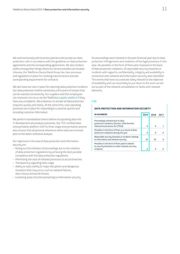We work exclusively with business partners who accept our data protection rules in accordance with the guidelines on data protection agreements and the corresponding agreements. We also conduct audits among other things where our service providers are located. Likewise, the Telefónica Deutschland Group has clear processes and regulations in place for involving subcontractors and sets corresponding requirements for contracts.

We also have set rules in place for reporting data protection incidents. Our data protection hotline constitutes a first point of contact that can be reached conveniently. Our suppliers and their employees can moreover turn to us via the Telefónica [supplier platform](https://www.telefonica.de/verantwortung/verantwortlich-wirtschaften/lieferanten/registrierung-und-feedback.html) if they have any complaints. We endeavour to answer all data protection enquiries quickly and clearly. At the same time, clear operating processes are in place for responding to customer queries and recording customer information.

We perform standardised checks before incorporating data into IT development and analysis processes. Our TÜV-certified data anonymisation platform with its three-stage anonymisation process also ensures that all personal references within data are removed prior to the data's statistical analysis.

Our objectives in the area of data protection and information security are:

- Ruling out the initiation of proceedings due to the violation of data protection regulations by achieving the best possible compliance with the data protection regulations
- Minimising the ratio of initiated processes to actual breaches
- Transparency regarding data usage
- Ability to react swiftly to major disruptions and dangerous situations that may occur, such as network failures, data misuse and bomb threats
- Localising areas of action pertaining to information security

No proceedings were initiated in the past financial year due to data protection infringements and violations of the legal provisions in this area. No penalties in the form of fines were imposed on the basis of data protection violations. 26 reportable security breaches or incidents with regard to confidentiality, integrity and availability in connection with network and information security were identified. The events that have occurred are solely relevant to the objective of availability and can essentially be put down to the work carried out as part of the network consolidation or faults with network elements.

#### **T 02**

#### **DATA PROTECTION AND INFORMATION SECURITY**

| <b>IN NUMBERS</b>                                                                                                | 2019 | 2018 | 2017 |
|------------------------------------------------------------------------------------------------------------------|------|------|------|
| Proceedings initiated due to data<br>protection violations (Section 109a German<br>Telecommunications Act [TKG]) | O    | O    |      |
| Penalties in the form of fines as a result of data<br>protection violations during the year                      | O    | O    |      |
| Reportable security breaches or incidents relating<br>to information and network security                        | 26   | 36   | q    |
| Penalties in the form of fines paid in relation<br>to security breaches or other network security<br>incidents   | U    |      |      |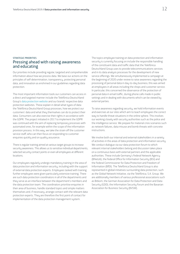#### STRATEGIC PRIORITIES Pressing ahead with raising awareness and educating

Our priorities include providing regular, targeted and comprehensible information about how we process data. We base our actions on the principles of self-determination, transparency, protecting personal data, and innovation as enshrined in our guidelines regarding data protection.

The most important information tools our customers can access in a direct and targeted manner include the Telefónica Deutschland Group's [data protection website](https://www.telefonica.de/unternehmen/datenschutz.html) and our brands' respective data protection websites. These explain in detail what types of data the Telefónica Deutschland Group processes, how we protect our customers' data and what they themselves can do to protect their data. Consumers can also exercise their rights in accordance with the GDPR. The project initiated in 2017 to implement the GDPR was continued with the aim of replacing temporary processes with automated ones, for example within the scope of the information provision process. In this way, we take the strain off the customer service staff, who can then focus on responding to customer enquiries quickly and on quality assurance.

There is regular training aimed at various target groups to increase security awareness. This allows us to sensitise individual departments, selected security contact points or even all employees at different locations.

Our employees regularly undergo mandatory training in the area of data protection and information security, including with the support of external data protection experts. Employees tasked with training further employees were given particularly extensive training. There are such data protection coordinators in all of the departments and they serve as an interface between the department's members and the data protection team. The coordinators prioritise enquiries in their area of business, handle standard topics and simple matters themselves and, if necessary, arrange contact with the relevant data protection experts. They are therefore the first point of contact for implementation of the data protection management system.

The topics employee training on data protection and information security is currently focusing on include the responsible handling of the constituent data and traffic data that the Telefónica Deutschland Group uses to provide telecommunications services and in its data analysis processes for the development of new service offerings. We simultaneously implemented a campaign at the beginning of 2020 under review to raise awareness regarding the processing of personal data in day-to-day business; this was aimed at employees in all areas including the shops and customer service. In particular, this concerned the observance of the protection of personal data in email traffic, during phone calls made in public settings and in dealing with documents which can be viewed by external parties.

To raise awareness regarding security, we hold information events and exercises at our sites which aim to teach employees the correct way to handle threat situations in the online sphere. This involves our working closely with security authorities such as the police and the intelligence service. We prepare for material crisis scenarios such as network failures, data misuse and bomb threats with concrete instructions.

We involve both our internal and external stakeholders in a variety of activities in the areas of data protection and information security. We conduct dialogue via our data protection forum to which relevant internal stakeholders belong and discussion takes place on a continuous basis with external partners and the applicable authorities. These include Germany's Federal Network Agency (BNetzA), the Federal Office for Information Security (BSI) and the Federal Commissioner for Data Protection and Freedom of Information (BfDI). The Telefónica Deutschland Group is also represented in global initiatives surrounding data protection, such as the Global Network Initiative, via the Telefónica, S.A. Group. We are additionally members of various professional associations such as Bitkom, the German Association for Data Protection and Data Security (GDD), the Information Security Forum and the Bavarian Association for Business Security (BVSW).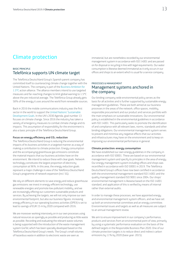### Climate protection

#### BASIC PRINCIPLE Telefónica supports UN climate target

The Telefónica Deutschland Group's Spanish parent company has committed itself to counteracting climate change together with the United Nations. The company is part of the [Business Ambition for](https://www.telefonica.com/en/web/press-office/-/telefonica-commits-to-the-un-to-fulfil-more-ambitious-climate-targets-to-limit-the-increase-in-global-temperature)  [1.5°C](https://www.telefonica.com/en/web/press-office/-/telefonica-commits-to-the-un-to-fulfil-more-ambitious-climate-targets-to-limit-the-increase-in-global-temperature) action alliance. The alliance members intend to use targeted measures and far-reaching changes to limit global warning to 1.5°C above the pre-industrial average. The Telefónica Group already gets 58% of the energy it uses around the world from renewable sources.

Back in 2016 the mobile communications industry was the first sector in the world to support the [United Nations' Sustainable](https://www.un.org/sustainabledevelopment/sustainable-development-goals/)  [Development Goals.](https://www.un.org/sustainabledevelopment/sustainable-development-goals/) In the UN's 2030 Agenda, goal number 13 focuses on climate change. Since 2016 the industry has taken a variety of emergency measures to combat climate change and its impacts. This assumption of responsibility for the environment is also a basic principle of the Telefónica Deutschland Group.

#### Focus on energy efficiency and CO<sub>2</sub> reduction

The Telefónica Deutschland Group is reducing the environmental impacts of its business activities in a targeted manner as a way of making a contribution to climate protection. Energy consumption and the accompanying greenhouse gas emissions constitute the material impacts that our business activities have on the environment. We intend to reduce these with clear goals. Network technology constitutes the largest proportion of electricity consumption at 96%. In this area, the energy reduction goals represent a major challenge in view of the Telefónica Deutschland Group's programme of network expansion (incl. 5G).

We rely on different elements to save energy and reduce greenhouse gas emissions: we invest in energy-efficient technology, use renewable energies and promote low-pollutant mobility, and we are increasingly offering our customers sustainable products and services. By achieving the targets, we will not only improve our own environmental footprint, but also our business figures: increasing energy efficiency in our operating business activities (OPEX) is set to lead to savings of EUR 15 m by 2020 compared with 2016.

We are moreover working intensively on in our own processes using natural resources as sparingly as possible and producing as little waste as possible. Recording and evaluating the relevant waste volumes is being supported with the introduction of the waste management system GreTel, which has been specially developed based on the Telefónica Deutschland Group's needs. The Group's small volumes of hazardous waste in addition to electronic waste are seen as

immaterial, but are nonetheless recorded by our environmental management system in accordance with ISO 14001 and are passed on for disposal or recycling in line with legal requirements. Our water consumption is likewise deemed immaterial as it only occurs in our offices and shops to an extent which is usual for a service company.

#### PROCESSES & MANAGEMENT Management systems anchored in the company

Our binding company-wide environmental policy serves as the basis for all activities and is further supported by sustainable energy management guidelines. These are both aimed at our business processes in the areas of the network, office spaces, mobility, responsible procurement and our product and services portfolio with the main emphasis on sustainable innovations. Our environmental policy is established in the environmental guidelines in accordance with ISO 14001. This particularly seeks to promote the identification of and compliance with all relevant laws, norms, standards and other binding obligations. Our environmental management system serves to prevent and minimise any negative effects that our activities and infrastructures may have on the environment and to keep on improving our environmental performance in general.

#### **Climate protection: energy consumption**

We have established our own energy guidelines in the company in accordance with ISO 50001. These are based on our environmental management system and specify its principles in the area of energy. Our energy management system including offices and shops was recertified in accordance with ISO 50001 in 2019. The Telefónica Deutschland Group's offices have now been certified in accordance with the environmental management standard ISO 14001 and the quality management standard ISO 9001 since 2004. Our shops' environmental management is likewise based on the ISO 14001 standard, and application of this is verified by means of internal rather than external audits.

In order to manage these processes, we have appointed energy and environmental management system officers, and we have set up both an environmental committee and an energy committee. Environmental issues and targets as well as all measures are subject to an annual management review.

We aim to ensure improvement in our company's performance, products and services from an environmental point of view, primarily by using a systematic performance evaluation on the basis of the defined targets in the Responsible Business Plan 2020. One of our climate protection targets is to reduce direct and indirect carbon emissions by 11% by 2020 (base year: 2015).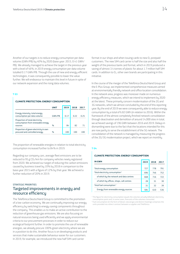Another of our targets is to reduce energy consumption per data volume (GWh/PB) by 40% by 2020 (base year: 2015, 0.41 GWh/ PB). We already managed to achieve the target in the previous year with a level of 46%; in 2019 energy consumption per data volume totalled 0.17 GWh/PB. Through the use of new and energy-efficient technologies, it was consequently possible to lower the value further. We will endeavour to maintain this level in future in spite of our network expansion and the rising data volumes.

#### **T 03**

| <b>CLIMATE PROTECTION: ENERGY CONSUMPTION</b> |  |
|-----------------------------------------------|--|
|-----------------------------------------------|--|

|                                                                                 | <b>UNIT</b> | 2019 | 2018 | 2017 |
|---------------------------------------------------------------------------------|-------------|------|------|------|
| Energy intensity: total energy<br>consumption per data volume                   | GWh/PB      | 0.17 | 0.22 | 0.25 |
| Proportion of total electricity<br>consumption from renewable energy<br>sources | $\%$        | 84   | 82   | 71   |
| Proportion of green electricity in own<br>procured and controlled energy        | $\%$        | 100  | 100  | າດດ  |

The proportion of renewable energies in relation to total electricity consumption increased further to 84% in 2019.

Regarding our company cars, average fleet emissions are to be reduced to 95 g CO<sub>2</sub>/km for company vehicles newly registered from 2020. We achieved our target of reducing the carbon emissions caused by business travel by 10% by 2018 in comparison to the base year 2015 with a figure of 12% by that year. We achieved a further reduction of 20% in 2019.

#### STRATEGIC PRIORITIES Targeted improvements in energy and resource efficiency

The Telefónica Deutschland Group is committed to the promotion of a low-carbon economy. We are continually improving our energy efficiency by switching to energy-saving components throughout the company. This enables us to make an active contribution to the reduction of greenhouse gas emissions. We are also focusing on natural resources being used efficiently and we apply environmental criteria to our procurement processes in order to reduce our ecological footprint further. In order to promote the use of renewable energies, we already procure 100% green electricity where we are in a position to do this. Another focus is on developing products and services that make sustainable behaviour easier for our customers. In 2019, for example, we introduced the new half SIM card carrier

format in our shops and when issuing cards to new  $O<sub>2</sub>$  postpaid customers. The new SIM card carrier is half the size and also half the weight of the previous bank card format, which in 2019 produced a saving of almost 3.4 tonnes of plastic for about 1.7 million half SIM cards. In addition to  $O_2$ , other own brands are participating in this initiative.

In the course of the merger of the Telefónica Deutschland Group and the E-Plus Group, we implemented comprehensive measures aimed at environmentally friendly network and office location consolidation. In the network area, progress was moreover made on numerous energy efficiency measures, which we intend to implement by 2020 at the latest. These primarily concern modernisation of the 2G and 3G networks, which we almost concluded by the end of this reporting year. By the end of 2019 we were consequently able to reduce energy consumption by a total of 6.82 GWh (in relation to 2016). Within the framework of the almost completely finished network consolidation through deactivation and demolition of around 14,000 sites in total, we achieved savings of 196 GWh between 2016 and 2019. Delays in dismantling were due to the fact that the locations intended for this are now partly to serve the establishment of the 5G network. The consolidation of the network is managed by measuring the progress of the 2G/3G modernisation project, which we report on monthly.

#### **T 04**

#### **CLIMATE PROTECTION: ENERGY CONSUMPTION**

| <b>IN GWH</b>                              | 2019 | 2018 | 2017 |
|--------------------------------------------|------|------|------|
| Total energy consumption                   | 727  | 778  | 791  |
| Total electricity consumption <sup>1</sup> | 696  | 746  | 752  |
| of which by the network and data centres   | 668  | 716  | 722  |
| of which by offices, shops, call centres   | 28   | 31   | 30   |
| Total fuel consumption <sup>2</sup>        | 31   | 32   | 39   |
| Energy from renewable energy sources       | 584  | 610  | 536  |

<sup>1</sup> The figure for electricity consumption equals the volumes actually billed per electricity consumption point and, in some cases, forecasts of the volumes consumed.

<sup>2</sup> Fuel consumption (in the form of diesel, natural gas and district heating) comprises the units provided via a direct contract between a supplier and Telefónica.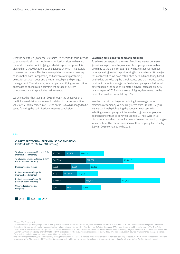Over the next three years, the Telefónica Deutschland Group intends to equip nearly all of its mobile communications sites with smart meters for the electronic logging of electricity consumption. It is planned for 25,000 locations to be equipped at which it is possible to access the meters. This technology delivers maximum energy consumption data transparency and offers a variety of starting points for cost-conscious and environmentally friendly energy management. These include, for example, identifying consumption anomalies as an indication of imminent outage of system components and the predictive maintenance.

We achieved further savings in 2019 through the deactivation of the DSL main distribution frames. In relation to the consumption value of 54 GWh recorded in 2015 the entire 54 GWh managed to be saved following the optimisation measure's conclusion.

#### **Lowering emissions for company mobility**

To achieve our targets in the area of mobility, we use our travel guidelines to promote the joint use of company cars as well as switching to the train. For example, we have made rail journeys more appealing to staff by authorising first-class travel. With regard to travel activities, we have established detailed monitoring based on the data provided by the travel agency and the mobility service provider in order to manage the fleet of company cars. Rail travel, determined on the basis of kilometers driven, increased by 22% year-on-year in 2019 while the use of flights, determined on the basis of kilometres flown, fell by 19%.

In order to attain our target of reducing the average carbon emissions of company vehicles registered from 2020 to 95 g/km, we are continually tightening the bonus-malus system for selecting new company vehicles in order to give our employees additional incentives to behave responsibly. There were initial discussions regarding the deployment of an electromobility charging infrastructure. The carbon emissions of the company fleet rose by 6.1% in 2019 compared with 2018.

#### **G 01**

#### **CLIMATE PROTECTION: GREENHOUSE GAS EMISSIONS** IN TONNES OF  $CO<sub>2</sub>$  EQUIVALENT (tCO<sub>2</sub>eq<sup>1</sup>)



 $1 CO_2$ eq =  $CO_2$ , CH<sub>4</sub> and N<sub>2</sub>O.

<sup>4</sup> The emissions per km for flights and rail travel (Scope 3) for the years 2017 to 2019 were calculated with emission factors applied Group-wide (source: UK National Atmospheric Emissions Inventory (NAEI)). The values for 2017 and 2018 were accordingly subjected to retrospective adjustment. Moreover, the emissions for rail travel for 2017 to 2019 were included.

<sup>2</sup> Carbon emissions (including Scope 1 and Scope 2) are calculated on the basis of ISO 14064, the Greenhouse Gas Protocol and the ITU-T L.1420. A standard Germany-wide conversion factor is used to convert electricity consumption into carbon emissions, irrespective of the fact that 84% (previous year: 82%) came from renewable energy sources. The Telefónica Deutschland Group uses the electricity conversion factors (development of specific carbon emissions in the German electricity mix during the years 1990–2018) of the Umweltbundesamt (German Environment Agency) and with that 518 g CO2 as the basis for the calculation in the year under review, 2019. This has, however, not resulted in fundamental changes in trends. <sup>3</sup> Other indirect emissions due to business travel (flights and rail travel).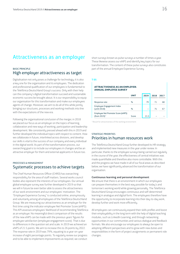### Attractiveness as an employer

#### BASIC PRINCIPLE High employer attractiveness as target

Digitalisation not only poses a challenge for technology; it is also a key one for the organisation and its employees. The dedication and professional qualification of our employees is fundamental to the Telefónica Deutschland Group's success. Only with their help can the company's digital transformation succeed and sustainable economic success be brought about. It is our responsibility to equip our organisation for this transformation and make our employees agents of change. Moreover, we aim to do all of this while jointly bringing our structures, processes and working methods into line with the expectations of the new era.

Following the organisational conclusion of the merger, in 2018 we placed our focus as an employer on the topics of learning, collaboration and new ways of working, participation and leadership development. We consistently pressed ahead with this in 2019 and further developed the individual topics with respect to content. How we collaborate in future, interlinked across divisions, and develop our skills is vital to the success of our company and every individual in the digital world. As part of the transformation process, our overarching goal is to include our employees in changes and be an attractive employer for them and external applicants in future too.

#### PROCESSES & MANAGEMENT Systematic processes to achieve targets

The Chief Human Resources Officer (CHRO) has overarching responsibility for the area of staff matters. Several works council bodies also represent the interests of our employees. Our annual global employee survey was further developed in 2019 so that we will in future be even better able to assess the attractiveness of our work environment and our employees' motivation. The "Employee Experience Survey" is conducted online, anonymously and voluntarily among all employees of the Telefónica Deutschland Group. We are measuring our attractiveness as an employer for the first time using the indicator employee Net Promoter Score (eNPS). This KPI assesses employees' likelihood of recommending Telefónica as an employer. No meaningful direct comparison of the results of the new eNPS can be made with the previous years' figures for employee satisfaction (employee engagement score). That is due to differences in the question set and scale. In 2019 we achieved an eNPS of 21.5 points. We aim to increase this to 26 points by 2022. The response rate in 2019 was 79%, equating to a year-on-year increase of eight percentage points. To regularly review our progress and to be able to implement improvements as required, we conduct

short surveys known as pulse surveys a number of times a year. These likewise assess our eNPS and identify key topics for our transformation. The content of these pulse surveus also constitutes part of the annual Employee Experience Survey.

#### **T 05**

#### **ATTRACTIVENESS AS AN EMPLOYER: ANNUAL EMPLOYEE SURVEY**

|                                                       | <b>UNIT</b> | 2019 | 2018 | 2017 |
|-------------------------------------------------------|-------------|------|------|------|
| Response rate                                         | $\%$        | 79   | 71   | 68   |
| Employee Engagement Index<br>(until 2018)             | $\%$        |      | 74   |      |
| Employee Net Promoter Score (eNPS)<br>(from 2019) $1$ | Score       | 21.5 |      |      |

<sup>1</sup> Result for attractiveness of the working environment

#### STRATEGIC PRIORITIES Priorities in human resources work

The Telefónica Deutschland Group further developed its HR strategy and implemented new measures in the year under review. In particular, thanks to the employee surveys being carried out regularly in the course of the year, the effectiveness of central initiatives was made quantifiable and therefore also more controllable. With this and the progress we have made in all of our focal areas as described below, we have significantly advanced the transformation of our organisation.

#### **Continuous learning and personal development**

We ensure that there is an environment in which our employees can prepare themselves in the best way possible for today's and tomorrow's working world while growing personally. The Telefónica Deutschland Group encourages continuous and self-determined learning in analogue and digital form. The employees therefore have the opportunity to incorporate learning into their day-to-day work, develop further and work more efficiently.

All employees can continuously expand their skills profiles and boost their employability in the long term with the help of digital teaching modules, such as LinkedIn Learning, and through networking opportunities in our communities and various dialogue and feedback formats. We also encourage our employees to always be open to adopting different perspectives and to grow with new duties and responsibilities in the form of project assignments or permanent role changes.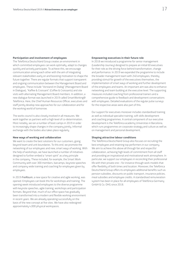#### **Participation and involvement of employees**

The Telefónica Deutschland Group creates an environment in which committed employees can work optimally, adapt to changes quickly and actively participate. To achieve this, we encourage communication among each other with the aim of integrating relevant stakeholders early on and boosting motivation to shape the future together. There are regular formats that support transparent and ongoing communication between the Management Board and employees. These include "Vorstand im Dialog" (Management Board in Dialogue), "Kaffee & Croissant" (Coffee & Croissants) and site visits with alternating Management Board members. In addition, a new dialogue format was launched in 2019 called SmartWorking@ Telefónica. Here, the Chief Human Resources Officer, executives and staff jointly develop new approaches for our collaboration and for the working world of tomorrow.

The works council is also closely involved in all measures. We work together as partners with a high level of co-determination. Most notably, we ran a number of boot camps in 2019 in order to increasingly shape changes in the company jointly. Informal exchange with the bodies also takes place regularly.

#### **New ways of working and collaboration**

We want to create the best solutions for our customers, going beyond team and unit boundaries. To this end, we promote the networking of our employees and new, smart ways of working. With the help of workshops, we have launched a number of initiatives designed to further embed a "smart spirit" as a key principle in the company. These included, for example, the Smart Work Community with over 300 members, barcamps, keynote speeches and company-wide training and coaching for employees given by employees.

In 2019 *FreiRaum*, a new space for creative and agile working, was opened. Employees can book this for workshops and training. The opening week introduced employees to the diverse programme with keynote speeches, agile training, workshops and participation formats. Beyond that, much of our office space has gradually been transformed into a modern and flexible working environment in recent years. We are already operating successfully on the basis of the new concept at five sites. We have also redesigned approximately 4,000 physical workspaces.

#### **Empowering executives in their future role**

In 2018 we introduced a programme for senior management (Leadership Journey) designed to prepare an initial 60 executives for their role as the driving force behind transformation, change and performance. In 2019 we expanded the programme to include the broader management team with 240 employees, thereby providing stimuli for growth of the executives themselves, the implementation of smart ways of working and further development of the employees and teams. An important aim was also to enhance networking and team building at the executive level. The supporting measures included coaching from professional trainers and a comprehensive guide to feedback and development conversations with employees. Detailed evaluations of the regular pulse surveys for the respective areas were also part of this.

Our support for executives moreover includes standardised training as well as individual specialist training, soft skills development and coaching programmes. A central component of our executive development is the Telefónica academy Universitas in Barcelona, which runs programmes on corporate strategy and culture as well as on management and personal development.

#### **Shaping attractive labour conditions**

The Telefónica Deutschland Group also focuses on recruiting the best employees and retaining top performers in our company. We aim to achieve this above all through fair and respectful collaboration, achieving high levels of commitment from all staff and providing an inspirational and motivational work atmosphere. In particular, we support our employees in reconciling their professional life with their private one – for instance through work models that offer flexibility of both times and location. Moreover, the Telefónica Deutschland Group offers its employees additional benefits such as pension subsidies, discounts on public transport, insurance policies, meal subsidies and employee credits. A standardised remuneration system has been in place for all employees of Telefónica Germany GmbH & Co. OHG since 2018.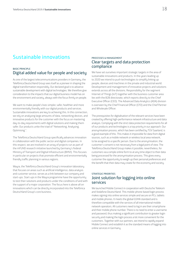### Sustainable innovations

#### BASIC PRINCIPLE Digital added value for people and society

As one of the largest telecommunications providers in Germany, the Telefónica Deutschland Group sees itself as a pioneer in shaping the digital transformation responsibly. Our declared goal is to advance sustainable development with digital technologies. We therefore give consideration to the impacts that our digital business model has on the environment and society, always with the focus firmly on people.

We want to make people's lives simpler, safer, healthier and more environmentally friendly with our digital products and services. Sustainable innovations are key to achieving this. In this connection, we rely on analysing large amounts of data, networking devices, and innovative products for the customer with the focus on mastering day-to-day requirements with digital solutions and making them safer. Our products unite the triad of "Networking. Analysing. Optimising.".

The Telefónica Deutschland Group specifically advances innovation in collaboration with the public sector and digital companies. In this respect, we are involved in an array of projects run as part of the mFUND research initiative launched by Germany's Federal Ministry of Transport and Digital Infrastructure (BMVI). This focuses in particular on projects that promote efficient and environmentally friendly traffic planning in various regions.

Wayra, the Telefónica Deutschland Group's innovation laboratory that focuses on areas such as artificial intelligence, data analysis and customer service, serves as a link between our company and start-ups. Start-ups in the Wayra programme have the opportunity to test their solutions and products under the conditions of and with the support of a major corporation. The focus here is above all on innovations which can be directly incorporated into the Telefónica Deutschland Group's core business.

#### PROCESSES & MANAGEMENT Clear targets and data protection compliance

We have set ourselves important strategic targets in the area of sustainable innovations and products. In the years leading up to 2020 we intend to push technologies to simplify linking up people, devices and machines in the private and industrial world. Development and management of innovative projects and solutions extends across all the divisions. Responsibility for the segment Internet of Things (IoT) together with the business customer area lies with the B2B directorate, which reports directly to the Chief Executive Officer (CEO). The Advanced Data Analytics (ADA) division is overseen by the Chief Financial Officer (CFO) and the Chief Partner and Wholesale Officer.

The prerequisites for digitalisation of the relevant services have been created by offering high-performance network infrastructure and data analysis. Complying with the strict data protection requirements for all of our products and technologies is a top priority in our approach. Our anonymisation process, which has been certified by TÜV Saarland, is a good example of this. This makes it impossible for data from digital sources, such as a mobile network or wireless local area network, to be assigned to a specific person. Due to the anonymisation, the customer's consent is not necessary from a legal point of view. The Telefónica Deutschland Group makes it possible, nevertheless, for customers via a simple online form to at any time object to their data being processed for the anonymisation process. This gives every customer the opportunity to weigh up their personal preferences and the benefit that their data may create for the economy and society.

#### STRATEGIC PRIORITIES Joint solution for logging into online services

We launched Mobile Connect in cooperation with Deutsche Telekom and Vodafone Deutschland. This mobile-phone-based login process makes signing into online services simple and secure on PCs, tablets and mobile phones. It meets the global GSMA standard and is therefore compatible with the services of all international mobile network operators. All customers need to log in are their smartphone and their mobile phone number. There is no need to enter a username and password, thus making a significant contribution to greater login security and making the login process a lot more convenient for the customers. Together with our partners, we intend to rapidly expand Mobile Connect and establish it as the standard means of logging into online services in Germany.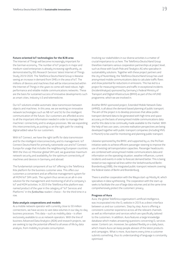#### **Future-oriented IoT technologies for the B2B area**

The Internet of Things will become increasingly important for the German economy. The number of IoT projects in major and medium-sized enterprises is already increasing significantly, as demonstrated by IDG Research Services' latest Internet of Things Study 2019/2020. The Telefónica Deutschland Group is likewise seeing an increase in demand from SMEs in the area of IoT. The millions of devices and machines that will be interconnected within the Internet of Things in the years to come will need robust, highperformance and reliable mobile communications networks. These are the basis for sustained success of innovative developments such as smart cities, Industry 4.0 and telemedicine.

Our IoT solutions enable automatic data transmission between objects and machines. In this area, we are working on innovative network technologies such as NB-IoT and 5G for the intelligent communication of the future. Our customers are afforded access to all the important information needed in order to manage their machines' connectivity and to analyse processes. We see expanding this interconnectivity as putting us on the right path for creating digital added value for our customers.

With IoT Connect, we have the right tariffs for data transmission and for the intelligent interconnectivity and its management: IoT Connect Deutschland for primarily nationwide use and IoT Connect Europa for usage that includes the neighbouring European countries. With the Vivo-o2-Movistar global SIM card, we guarantee maximum network security and availability for the optimum connectivity of machines and devices in Germany and abroad.

The fundamental component of our IoT offering is the Telefónica Kite platform for the business customer area. This offers our customers a convenient and an effective management sustem for all M2M/IoT SIM cards. The system thus serves as an all-in-one solution for the management and monitoring of all of a company's IoT and M2M activities. In 2019 the Telefónica Kite platform was named product of the year in the category of "IoT Services and Platforms" in the *funkschau* readers' choice – for the third time in a row.

#### **Data analysis cooperations and models**

As a mobile network operator with currently close to 50 million connections, we have access to vast data volumes in our day-to-day business processes. This data – such as mobility data – is often exclusively available to us as network operators. With the line of business Advanced Data Analytics (ADA) and research projects, we are seeking to tap the potential offered to all areas of life by data analysis, from mobility to private consumption.

Involving our stakeholders in our diverse activities is a matter of crucial importance to us here. The Telefónica Deutschland Group therefore maintains various cooperation partnerships at project level, such as those with South Pole and Teralytics AG who specialise in sustainability solutions. Together with these project partners and the city of Nuremberg, the Telefónica Deutschland Group has used anonymised mobile communications data to calculate traffic flows and show potential for reductions in emissions. This has led to a project for measuring emissions and traffic in exceptional incidents (IncidentAnalyse) sponsored by Germany's Federal Ministry of Transport and Digital Infrastructure (BMVI) as part of the mFUND programme, which we are involved in.

Another BMVI-sponsored project, Extended Mobile Network Data (xMND), is all about the demand-based planning of public transport. The aim of the project is to develop processes that allow publictransport demand data to be generated with high time and space accuracy on the basis of anonymised mobile communications data and for this data to be continually made available to the market. With the help of two use cases, concrete realisation perspectives are being developed together with public-transport companies (including MVG in Munich) to be used for monitoring and planning public transport.

Likewise sponsored by the BMVI, and supported by us, the ProTrain initiative seeks to achieve efficient passenger steering to improve the use of existing rail transportation capacities. Passenger headcounts are combined with anonymised mobile communications data and information on the operating situation, weather influences, current incidents and events in order to forecast demand better. This is being tested on two regional rail lines within the Verkehrsverbund Berlin-Brandenburg (VBB), the integrated public-transport network covering the federal states of Berlin and Brandenburg.

There is another cooperation with the Wayra start-up Mostly AI, which specialises in data synthesising. The cooperation with the start-up seeks to facilitate the use of large data volumes and at the same time comprehensively protect the customers' privacy.

#### **Progress of Aura**

Aura, the global Telefónica organisation's artificial intelligence, was incorporated into the  $O<sub>2</sub>$  website in 2019 as a direct interface between us and our customers. Step by step, Aura is offering a consistent customer experience across all the relevant channels as well as information and services which are specifically tailored to the customers. In addition, Aura features a large knowledge database which makes answering questions concerning  $O<sub>2</sub>$  services easier. Content can, moreover, be updated flexibly on a daily basis, which means Aura can keep people abreast of the latest products and campaigns. What is more, Aura learns every time a customer submits something, thus its understanding of language is constantly optimised.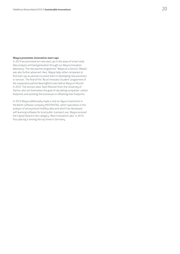#### **Wayra promotes innovative start-ups**

In 2019 we promoted ten new start-ups in the areas of smart retail, data analysis and lead generation through our Wayra innovation laboratory. The new partner programme "Wayra as a Service" (WaaS) was also further advanced. Here, Wayra helps other companies to find start-ups as partners to assist them in developing new processes or services. The final of the "Be an Innovator Student" programme of the cooperative partner BearingPoint was held at Wayra in Munich in 2019. The winners were Team ReGreen from the University of Vienna, who set themselves the goal of calculating companies' carbon footprints and assisting the businesses in offsetting their footprints.

In 2019 Wayra additionally made a mid-six-figure investment in the Berlin software company MOTIONTAG, which specialises in the analysis of anonymised mobility data and which has developed self-learning software for local public-transport use. Wayra received the Capital Award in the category "Best Innovation Labs" in 2019, thus placing it among the top three in Germany.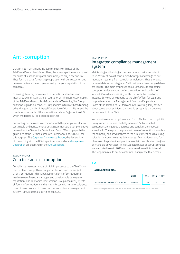### Anti-corruption

Our aim is to maintain and increase the trustworthiness of the Telefónica Deutschland Group. Here, the integrity of the company and the sense of responsibility of all our employees play a decisive role. They form the basis for trusting cooperation with our customers and business partners, thereby guaranteeing the good reputation of our company.

Observing statutory requirements, international standards and internal guidelines is a matter of course for us. The Business Principles of the Telefónica Deutschland Group and the Telefónica, S.A. Group additionally guide our conduct. Our principles in turn are based among other things on the UN Universal Declaration of Human Rights and the core labour standards of the International Labour Organization (ILO), which we declare our dedicated support for.

Conducting our business in accordance with the principles of efficient, sustainable and transparent corporate governance is a comprehensive demand for the Telefónica Deutschland Group. We comply with the guidelines of the German Corporate Governance Code (DCGK) for this purpose. The [Corporate Governance Report](https://www.telefonica.de/investor-relations-en/corporate-governance/corporate-governance-report), the declaration of conformity with the DCGK specifications and our [Management](https://www.telefonica.de/investor-relations/corporate-governance/erklaerungen-und-satzung)  [Declaration](https://www.telefonica.de/investor-relations/corporate-governance/erklaerungen-und-satzung) are published in the [Annual Report.](http://telefonica.de/investor-relations-en/annual-report)

#### BASIC PRINCIPLE Zero tolerance of corruption

Compliance management is of high importance to the Telefónica Deutschland Group. There is a particular focus on the subject of anti-corruption – this is because incidents of corruption can lead to severe financial damages and considerable damage to reputation. The Telefónica Deutschland Group absolutely rejects all forms of corruption and this is reinforced with its zero-tolerance commitment. We aim to have had our compliance management system (CMS) externally certified by 2020.

#### BASIC PRINCIPLE Integrated compliance management system

Maintaining and building up our customers' trust is important to us. We must avoid financial disadvantages or damage to our reputation resulting from compliance violations. That is why we have established an integrated CMS that guarantees our guidelines are kept to. The main emphases of our CMS include combating corruption and preventing unfair competition and conflicts of interest. Overall responsibility for this lies with the Director of Integrity Services, who reports to the Chief Officer for Legal and Corporate Affairs. The Management Board and Supervisory Board of the Telefónica Deutschland Group are regularly notified about compliance activities, particularly as regards the ongoing development of the CMS.

We do not tolerate corruption or any form of bribery or corruptibility. Every suspected case is carefully examined. Substantiated accusations are rigorously pursued and penalties are imposed accordingly. The system helps detect cases of corruption throughout the company and prevent them to the fullest extent possible using suitable measures. Here, we define cases of corruption as any form of misuse of a professional position to obtain unauthorised tangible or intangible advantages. Three suspected cases of corrupt conduct were reported to us in 2019 and these were looked into internally. The suspicions could not be confirmed in any of the three cases.

#### **T 06**

#### **ANTI-CORRUPTION**

|                                       | <b>UNIT</b> | <b>2019</b> | 2018 2017 |  |
|---------------------------------------|-------------|-------------|-----------|--|
| Total number of cases of corruption 1 | Number      |             |           |  |

<sup>1</sup> Confirmed suspected cases that led to measures related to labour law or sanctions.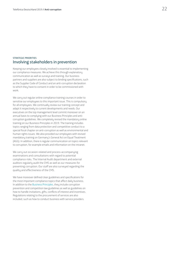#### STRATEGIC PRIORITIES Involving stakeholders in prevention

Keeping our employees closely involved is essential to implementing our compliance measures. We achieve this through explanatory communication as well as surveys and training. Our business partners and suppliers are also subject to binding specifications, such as the Supplier Code of Conduct and an anti-corruption declaration to which they have to consent in order to be commissioned with work.

We carry out regular online compliance training courses in order to sensitise our employees to this important issue. This is compulsory for all employees. We continually review our training concept and adapt it respectively to current developments and needs. Our executives on the top management level commit moreover on an annual basis to complying with our Business Principles and anticorruption guidelines. We completely revised the mandatory online training on our Business Principles in 2019. The training includes topics ranging from data protection and competitive conduct to a special focal chapter on anti-corruption as well as environmental and human rights issues. We also provided our employees with revised mandatory training on Germany's General Act on Equal Treatment (AGG). In addition, there is regular communication on topics relevant to corruption, for example emails and information on the intranet.

We carry out occasion-related and process-accompanying examinations and consultations with regard to potential compliance risks. The Internal Audit department and external auditors regularly audit the CMS as well as our measures for preventing corruption. Our staff are also surveyed regarding the quality and effectiveness of the CMS.

We have moreover defined clear guidelines and specifications for the most important compliance topics that affect daily business. In addition to the [Business Principles,](https://www.telefonica.de/file/public/776/Telefonica-Business-Principles-en--01-2018.pdf?attachment=1 ) they include corruption prevention and competition law guidelines as well as guidelines on how to handle invitations, gifts, conflicts of interest and incentives. Regulations relating to the procurement of services are also included, such as how to conduct business with service providers.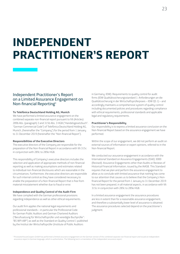## **INDEPENDENT PRACTITIONER'S REPORT**

### Independent Practitioner's Report on a Limited Assurance Engagement on Non-financial Reporting1

#### **To Telefónica Deutschland Holding AG, Munich**

We have performed a limited assurance engagement on the combined separate non-financial report pursuant to §§ (Articles) 289b Abs. (paragraph) 3 and 315b Abs. 3 HGB ("Handelsgesetzbuch": "German Commercial Code") of Telefónica Deutschland Holding AG, Munich, (hereinafter the "Company") for the period from 1 January to 31 December 2019 (hereinafter the "Non-financial Report").

#### **Responsibilities of the Executive Directors**

The executive directors of the Company are responsible for the preparation of the Non-financial Report in accordance with §§ 315c in conjunction with 289c to 289e HGB.

This responsibility of Company's executive directors includes the selection and application of appropriate methods of non-financial reporting as well as making assumptions and estimates related to individual non-financial disclosures which are reasonable in the circumstances. Furthermore, the executive directors are responsible for such internal control as they have considered necessary to enable the preparation of a Non-financial Report that is free from material misstatement whether due to fraud or error.

#### **Independence and Quality Control of the Audit Firm**

We have complied with the German professional provisions regarding independence as well as other ethical requirements.

Our audit firm applies the national legal requirements and professional standards – in particular the Professional Code for German Public Auditors and German Chartered Auditors ("Berufssatzung für Wirtschaftsprüfer und vereidigte Buchprüfer": "BS WP/vBP") as well as the Standard on Quality Control 1 published by the Institut der Wirtschaftsprüfer (Institute of Public Auditors

in Germany; IDW): Requirements to quality control for audit firms (IDW Qualitätssicherungsstandard 1: Anforderungen an die Qualitätssicherung in der Wirtschaftsprüferpraxis – IDW QS 1) – and accordingly maintains a comprehensive system of quality control including documented policies and procedures regarding compliance with ethical requirements, professional standards and applicable legal and regulatory requirements.

#### **Practitioner's Responsibility**

Our responsibility is to express a limited assurance conclusion on the Non-financial Report based on the assurance engagement we have performed.

Within the scope of our engagement, we did not perform an audit on external sources of information or expert opinions, referred to in the Non-financial Report.

We conducted our assurance engagement in accordance with the International Standard on Assurance Engagements (ISAE) 3000 (Revised): Assurance Engagements other than Audits or Reviews of Historical Financial Information, issued by the IAASB. This Standard requires that we plan and perform the assurance engagement to allow us to conclude with limited assurance that nothing has come to our attention that causes us to believe that the Company's Nonfinancial Report for the period from 1 January to 31 December 2019 has not been prepared, in all material aspects, in accordance with §§ 315c in conjunction with 289c to 289e HGB.

In a limited assurance engagement the assurance procedures are less in extent than for a reasonable assurance engagement, and therefore a substantially lower level of assurance is obtained. The assurance procedures selected depend on the practitioner's judgment.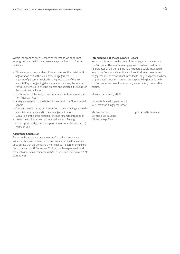Within the scope of our assurance engagement, we performed amongst others the following assurance procedures and further activities:

- Obtaining an understanding of the structure of the sustainability organization and of the stakeholder engagement
- Inquiries of personnel involved in the preparation of the Nonfinancial Report regarding the preparation process, the internal control system relating to this process and selected disclosures in the Non-financial Report
- Identification of the likely risks of material misstatement of the Non-financial Report
- Analytical evaluation of selected disclosures in the Non-financial Report
- Comparison of selected disclosures with corresponding data in the financial statements and in the management report
- Evaluation of the presentation of the non-financial information
- Use of the work of a practitioner's verification of energy consumption and greenhouse gas emission indicators according

#### **Assurance Conclusion**

to ISO 14064

Based on the assurance procedures performed and assurance evidence obtained, nothing has come to our attention that causes us to believe that the Company's Non-financial Report for the period from 1 January to 31 December 2019 has not been prepared, in all material aspects, in accordance with §§ 315c in conjunction with 289c to 289e HGB.

#### **Intended Use of the Assurance Report**

We issue this report on the basis of the engagement agreed with the Company. The assurance engagement has been performed for purposes of the Company and the report is solely intended to inform the Company about the results of the limited assurance engagement. The report is not intended for any third parties to base any (financial) decision thereon. Our responsibility lies only with the Company. We do not assume any responsibility towards third parties.

Munich, 14 February 2020

PricewaterhouseCoopers GmbH Wirtschaftsprüfungsgesellschaft

German public auditor (Wirtschaftsprüfer)

Michael Conrad ppa. Annette Daschner